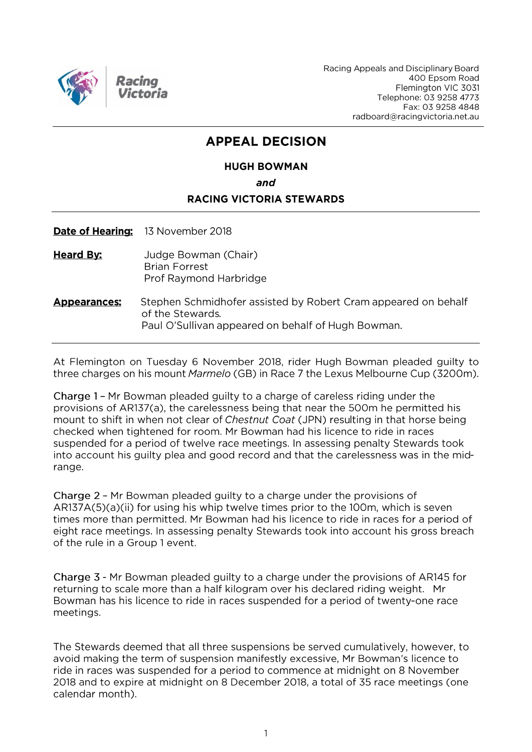

Racing Appeals and Disciplinary Board 400 Epsom Road Flemington VIC 3031 Telephone: 03 9258 4773 Fax: 03 9258 4848 radboard@racingvictoria.net.au

## **APPEAL DECISION**

## **HUGH BOWMAN** and **RACING VICTORIA STEWARDS**

Date of Hearing: 13 November 2018

**Heard By:** Judge Bowman (Chair) **Brian Forrest** Prof Raymond Harbridge

#### Stephen Schmidhofer assisted by Robert Cram appeared on behalf **Appearances:** of the Stewards. Paul O'Sullivan appeared on behalf of Hugh Bowman.

At Flemington on Tuesday 6 November 2018, rider Hugh Bowman pleaded guilty to three charges on his mount *Marmelo* (GB) in Race 7 the Lexus Melbourne Cup (3200m).

Charge 1 - Mr Bowman pleaded guilty to a charge of careless riding under the provisions of AR137(a), the carelessness being that near the 500m he permitted his mount to shift in when not clear of Chestnut Coat (JPN) resulting in that horse being checked when tightened for room. Mr Bowman had his licence to ride in races suspended for a period of twelve race meetings. In assessing penalty Stewards took into account his guilty plea and good record and that the carelessness was in the midrange.

Charge 2 - Mr Bowman pleaded guilty to a charge under the provisions of AR137A(5)(a)(ii) for using his whip twelve times prior to the 100m, which is seven times more than permitted. Mr Bowman had his licence to ride in races for a period of eight race meetings. In assessing penalty Stewards took into account his gross breach of the rule in a Group 1 event.

Charge 3 - Mr Bowman pleaded guilty to a charge under the provisions of AR145 for returning to scale more than a half kilogram over his declared riding weight. Mr Bowman has his licence to ride in races suspended for a period of twenty-one race meetings.

The Stewards deemed that all three suspensions be served cumulatively, however, to avoid making the term of suspension manifestly excessive, Mr Bowman's licence to ride in races was suspended for a period to commence at midnight on 8 November 2018 and to expire at midnight on 8 December 2018, a total of 35 race meetings (one calendar month).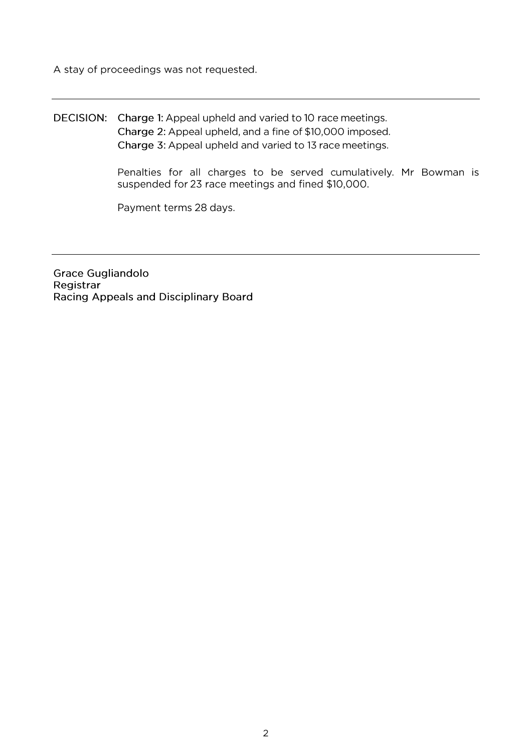A stay of proceedings was not requested.

### DECISION: Charge 1: Appeal upheld and varied to 10 race meetings. Charge 2: Appeal upheld, and a fine of \$10,000 imposed. Charge 3: Appeal upheld and varied to 13 race meetings.

Penalties for all charges to be served cumulatively. Mr Bowman is suspended for 23 race meetings and fined \$10,000.

Payment terms 28 days.

**Grace Gugliandolo** Registrar Racing Appeals and Disciplinary Board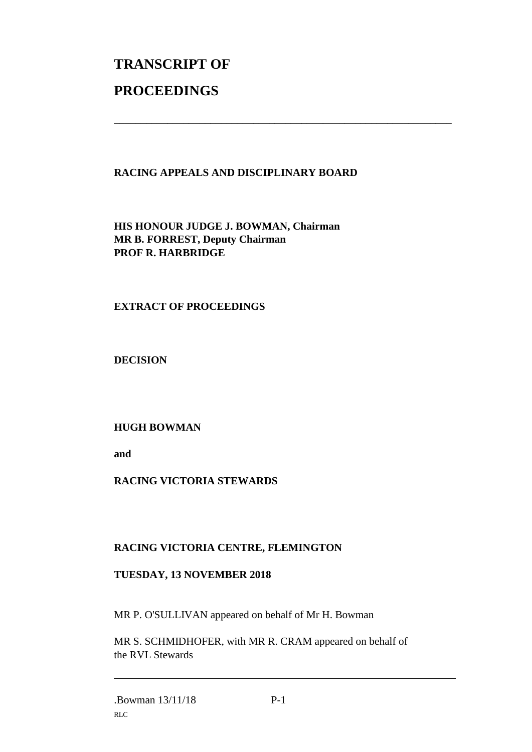# **TRANSCRIPT OF PROCEEDINGS**

#### **RACING APPEALS AND DISCIPLINARY BOARD**

\_\_\_\_\_\_\_\_\_\_\_\_\_\_\_\_\_\_\_\_\_\_\_\_\_\_\_\_\_\_\_\_\_\_\_\_\_\_\_\_\_\_\_\_\_\_\_\_\_\_\_\_\_\_\_\_\_\_\_\_\_\_\_

**HIS HONOUR JUDGE J. BOWMAN, Chairman MR B. FORREST, Deputy Chairman PROF R. HARBRIDGE**

#### **EXTRACT OF PROCEEDINGS**

**DECISION**

#### **HUGH BOWMAN**

**and** 

#### **RACING VICTORIA STEWARDS**

#### **RACING VICTORIA CENTRE, FLEMINGTON**

#### **TUESDAY, 13 NOVEMBER 2018**

MR P. O'SULLIVAN appeared on behalf of Mr H. Bowman

MR S. SCHMIDHOFER, with MR R. CRAM appeared on behalf of the RVL Stewards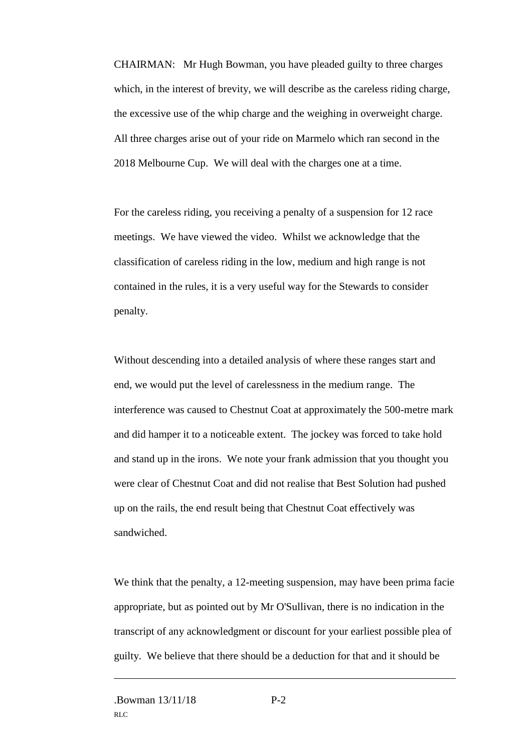CHAIRMAN: Mr Hugh Bowman, you have pleaded guilty to three charges which, in the interest of brevity, we will describe as the careless riding charge, the excessive use of the whip charge and the weighing in overweight charge. All three charges arise out of your ride on Marmelo which ran second in the 2018 Melbourne Cup. We will deal with the charges one at a time.

For the careless riding, you receiving a penalty of a suspension for 12 race meetings. We have viewed the video. Whilst we acknowledge that the classification of careless riding in the low, medium and high range is not contained in the rules, it is a very useful way for the Stewards to consider penalty.

Without descending into a detailed analysis of where these ranges start and end, we would put the level of carelessness in the medium range. The interference was caused to Chestnut Coat at approximately the 500-metre mark and did hamper it to a noticeable extent. The jockey was forced to take hold and stand up in the irons. We note your frank admission that you thought you were clear of Chestnut Coat and did not realise that Best Solution had pushed up on the rails, the end result being that Chestnut Coat effectively was sandwiched.

We think that the penalty, a 12-meeting suspension, may have been prima facie appropriate, but as pointed out by Mr O'Sullivan, there is no indication in the transcript of any acknowledgment or discount for your earliest possible plea of guilty. We believe that there should be a deduction for that and it should be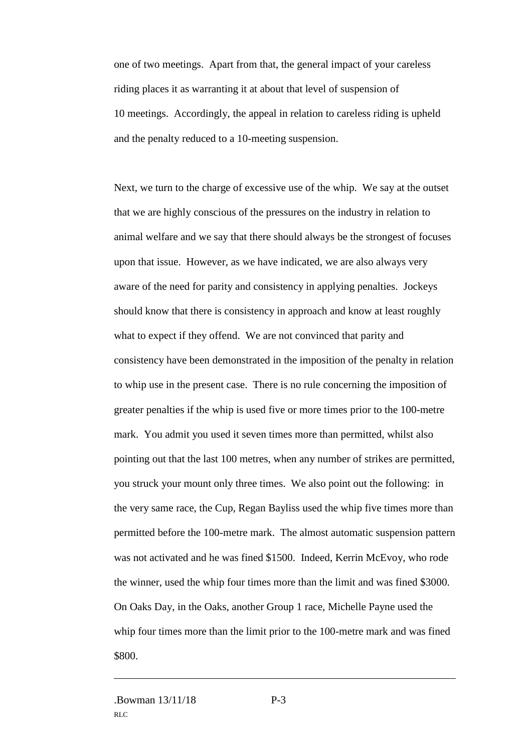one of two meetings. Apart from that, the general impact of your careless riding places it as warranting it at about that level of suspension of 10 meetings. Accordingly, the appeal in relation to careless riding is upheld and the penalty reduced to a 10-meeting suspension.

Next, we turn to the charge of excessive use of the whip. We say at the outset that we are highly conscious of the pressures on the industry in relation to animal welfare and we say that there should always be the strongest of focuses upon that issue. However, as we have indicated, we are also always very aware of the need for parity and consistency in applying penalties. Jockeys should know that there is consistency in approach and know at least roughly what to expect if they offend. We are not convinced that parity and consistency have been demonstrated in the imposition of the penalty in relation to whip use in the present case. There is no rule concerning the imposition of greater penalties if the whip is used five or more times prior to the 100-metre mark. You admit you used it seven times more than permitted, whilst also pointing out that the last 100 metres, when any number of strikes are permitted, you struck your mount only three times. We also point out the following: in the very same race, the Cup, Regan Bayliss used the whip five times more than permitted before the 100-metre mark. The almost automatic suspension pattern was not activated and he was fined \$1500. Indeed, Kerrin McEvoy, who rode the winner, used the whip four times more than the limit and was fined \$3000. On Oaks Day, in the Oaks, another Group 1 race, Michelle Payne used the whip four times more than the limit prior to the 100-metre mark and was fined \$800.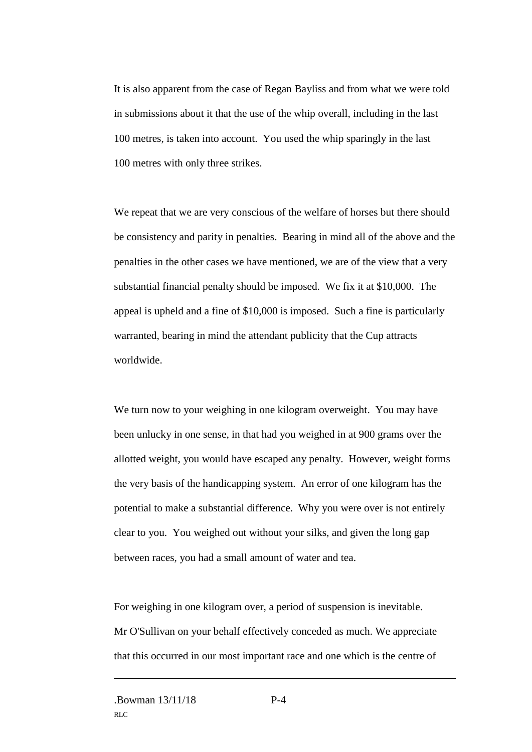It is also apparent from the case of Regan Bayliss and from what we were told in submissions about it that the use of the whip overall, including in the last 100 metres, is taken into account. You used the whip sparingly in the last 100 metres with only three strikes.

We repeat that we are very conscious of the welfare of horses but there should be consistency and parity in penalties. Bearing in mind all of the above and the penalties in the other cases we have mentioned, we are of the view that a very substantial financial penalty should be imposed. We fix it at \$10,000. The appeal is upheld and a fine of \$10,000 is imposed. Such a fine is particularly warranted, bearing in mind the attendant publicity that the Cup attracts worldwide.

We turn now to your weighing in one kilogram overweight. You may have been unlucky in one sense, in that had you weighed in at 900 grams over the allotted weight, you would have escaped any penalty. However, weight forms the very basis of the handicapping system. An error of one kilogram has the potential to make a substantial difference. Why you were over is not entirely clear to you. You weighed out without your silks, and given the long gap between races, you had a small amount of water and tea.

For weighing in one kilogram over, a period of suspension is inevitable. Mr O'Sullivan on your behalf effectively conceded as much. We appreciate that this occurred in our most important race and one which is the centre of